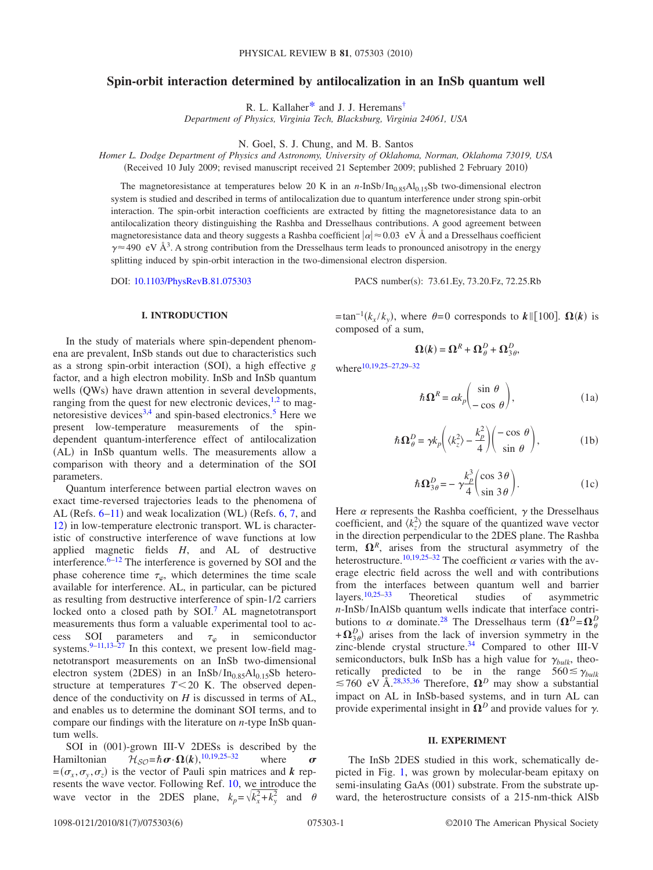# **Spin-orbit interaction determined by antilocalization in an InSb quantum well**

R. L. Kallaher<sup>\*</sup> and J. J. Heremans<sup>†</sup>

*Department of Physics, Virginia Tech, Blacksburg, Virginia 24061, USA*

N. Goel, S. J. Chung, and M. B. Santos

*Homer L. Dodge Department of Physics and Astronomy, University of Oklahoma, Norman, Oklahoma 73019, USA* (Received 10 July 2009; revised manuscript received 21 September 2009; published 2 February 2010)

The magnetoresistance at temperatures below 20 K in an  $n$ -InSb/In<sub>0.85</sub>Al<sub>0.15</sub>Sb two-dimensional electron

system is studied and described in terms of antilocalization due to quantum interference under strong spin-orbit interaction. The spin-orbit interaction coefficients are extracted by fitting the magnetoresistance data to an antilocalization theory distinguishing the Rashba and Dresselhaus contributions. A good agreement between magnetoresistance data and theory suggests a Rashba coefficient  $|\alpha| \approx 0.03 \text{ eV}$  Å and a Dresselhaus coefficient  $\gamma \approx 490 \text{ eV}$  Å<sup>3</sup>. A strong contribution from the Dresselhaus term leads to pronounced anisotropy in the energy splitting induced by spin-orbit interaction in the two-dimensional electron dispersion.

DOI: [10.1103/PhysRevB.81.075303](http://dx.doi.org/10.1103/PhysRevB.81.075303)

PACS number(s): 73.61.Ey, 73.20.Fz, 72.25.Rb

### **I. INTRODUCTION**

In the study of materials where spin-dependent phenomena are prevalent, InSb stands out due to characteristics such as a strong spin-orbit interaction (SOI), a high effective *g* factor, and a high electron mobility. InSb and InSb quantum wells (QWs) have drawn attention in several developments, ranging from the quest for new electronic devices, $1,2$  $1,2$  to mag-netoresistive devices<sup>3,[4](#page-4-5)</sup> and spin-based electronics.<sup>5</sup> Here we present low-temperature measurements of the spindependent quantum-interference effect of antilocalization (AL) in InSb quantum wells. The measurements allow a comparison with theory and a determination of the SOI parameters.

Quantum interference between partial electron waves on exact time-reversed trajectories leads to the phenomena of AL (Refs.  $6-11$  $6-11$ ) and weak localization (WL) (Refs.  $6, 7$  $6, 7$ , and [12](#page-4-10)) in low-temperature electronic transport. WL is characteristic of constructive interference of wave functions at low applied magnetic fields *H*, and AL of destructive interference. $6-12$  The interference is governed by SOI and the phase coherence time  $\tau_{\varphi}$ , which determines the time scale available for interference. AL, in particular, can be pictured as resulting from destructive interference of spin-1/2 carriers locked onto a closed path by  $SOI<sup>7</sup>$  AL magnetotransport measurements thus form a valuable experimental tool to access SOI parameters and  $\tau_{\varphi}$  in semiconductor systems. $9-11,13-27$  $9-11,13-27$  $9-11,13-27$  $9-11,13-27$  In this context, we present low-field magnetotransport measurements on an InSb two-dimensional electron system (2DES) in an InSb/In<sub>0.85</sub>Al<sub>0.15</sub>Sb heterostructure at temperatures  $T < 20$  K. The observed dependence of the conductivity on *H* is discussed in terms of AL, and enables us to determine the dominant SOI terms, and to compare our findings with the literature on *n*-type InSb quantum wells.

SOI in (001)-grown III-V 2DESs is described by the Hamiltonian  $\mathcal{H}_{\mathcal{SO}} = \hbar \boldsymbol{\sigma} \cdot \Omega(k),^{10,19,25-32}$  $\mathcal{H}_{\mathcal{SO}} = \hbar \boldsymbol{\sigma} \cdot \Omega(k),^{10,19,25-32}$  $\mathcal{H}_{\mathcal{SO}} = \hbar \boldsymbol{\sigma} \cdot \Omega(k),^{10,19,25-32}$  $\mathcal{H}_{\mathcal{SO}} = \hbar \boldsymbol{\sigma} \cdot \Omega(k),^{10,19,25-32}$  $\mathcal{H}_{\mathcal{SO}} = \hbar \boldsymbol{\sigma} \cdot \Omega(k),^{10,19,25-32}$  where  $\boldsymbol{\sigma}$  $=(\sigma_x, \sigma_y, \sigma_z)$  is the vector of Pauli spin matrices and *k* represents the wave vector. Following Ref. [10,](#page-4-14) we introduce the wave vector in the 2DES plane,  $k_p = \sqrt{k_x^2 + k_y^2}$  and  $\theta$ 

 $=$ tan<sup>-1</sup>( $k_x / k_y$ ), where  $\theta = 0$  corresponds to  $k \parallel [100]$ .  $\Omega(k)$  is composed of a sum,

$$
\Omega(k) = \Omega^R + \Omega^D_\theta + \Omega^D_{3\theta},
$$

<span id="page-0-1"></span><span id="page-0-0"></span>where<sup>10[,19,](#page-4-15)25-[27](#page-4-13)[,29](#page-4-17)-32</sup>

$$
\hbar \Omega^R = \alpha k_p \begin{pmatrix} \sin \theta \\ -\cos \theta \end{pmatrix},\tag{1a}
$$

$$
\hbar \Omega_{\theta}^{D} = \gamma k_{p} \left( \langle k_{z}^{2} \rangle - \frac{k_{p}^{2}}{4} \right) \left( \begin{matrix} -\cos \theta \\ \sin \theta \end{matrix} \right), \tag{1b}
$$

$$
\hbar \Omega_{3\theta}^D = -\gamma \frac{k_p^3}{4} \left( \frac{\cos 3\theta}{\sin 3\theta} \right). \tag{1c}
$$

<span id="page-0-2"></span>Here  $\alpha$  represents the Rashba coefficient,  $\gamma$  the Dresselhaus coefficient, and  $\langle k_z^2 \rangle$  the square of the quantized wave vector in the direction perpendicular to the 2DES plane. The Rashba term,  $\Omega^R$ , arises from the structural asymmetry of the heterostructure.<sup>10[,19,](#page-4-15)[25–](#page-4-16)[32](#page-5-0)</sup> The coefficient  $\alpha$  varies with the average electric field across the well and with contributions from the interfaces between quantum well and barrier<br>layers.<sup>10,25–33</sup> Theoretical studies of asymmetric Theoretical studies of asymmetric *n*-InSb/InAlSb quantum wells indicate that interface contributions to  $\alpha$  dominate.<sup>28</sup> The Dresselhaus term  $(\mathbf{\Omega}^D = \mathbf{\Omega}^D)_{\theta}$  $+\Omega_{3\theta}^D$  arises from the lack of inversion symmetry in the zinc-blende crystal structure.<sup>34</sup> Compared to other III-V semiconductors, bulk InSb has a high value for  $\gamma_{bulk}$ , theoretically predicted to be in the range  $560 \le \gamma_{bulk}$  $\leq 760$  eV Å.<sup>28[,35](#page-5-3)[,36](#page-5-4)</sup> Therefore,  $\Omega^D$  may show a substantial impact on AL in InSb-based systems, and in turn AL can provide experimental insight in  $\Omega^D$  and provide values for  $\gamma$ .

#### **II. EXPERIMENT**

The InSb 2DES studied in this work, schematically depicted in Fig. [1,](#page-1-0) was grown by molecular-beam epitaxy on semi-insulating GaAs (001) substrate. From the substrate upward, the heterostructure consists of a 215-nm-thick AlSb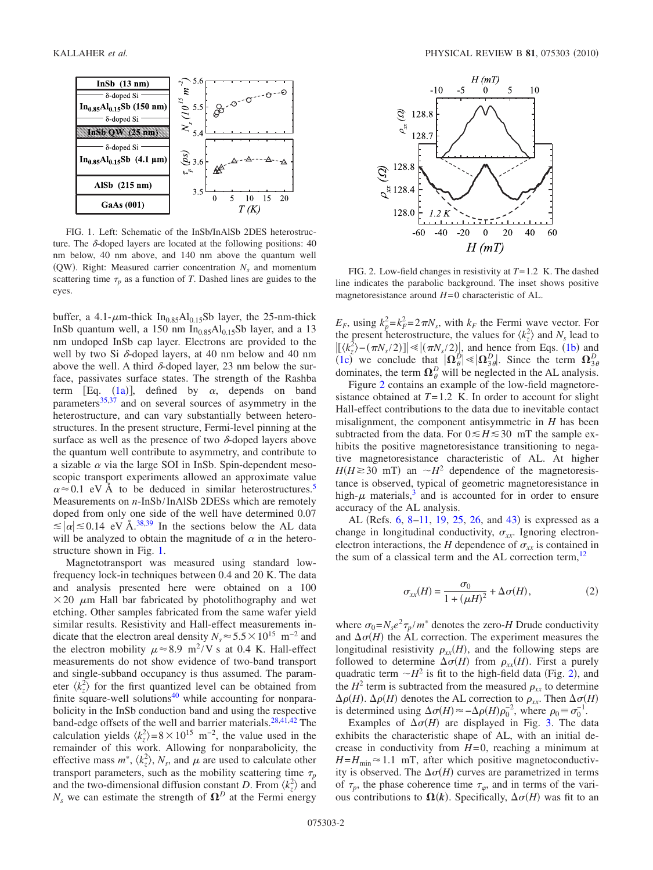<span id="page-1-0"></span>

FIG. 1. Left: Schematic of the InSb/InAlSb 2DES heterostructure. The  $\delta$ -doped layers are located at the following positions: 40 nm below, 40 nm above, and 140 nm above the quantum well (QW). Right: Measured carrier concentration  $N_s$  and momentum scattering time  $\tau_p$  as a function of *T*. Dashed lines are guides to the eyes.

buffer, a 4.1- $\mu$ m-thick In<sub>0.85</sub>Al<sub>0.15</sub>Sb layer, the 25-nm-thick InSb quantum well, a 150 nm  $In<sub>0.85</sub>Al<sub>0.15</sub>Sb$  layer, and a 13 nm undoped InSb cap layer. Electrons are provided to the well by two Si  $\delta$ -doped layers, at 40 nm below and 40 nm above the well. A third  $\delta$ -doped layer, 23 nm below the surface, passivates surface states. The strength of the Rashba term [Eq.  $(1a)$  $(1a)$  $(1a)$ ], defined by  $\alpha$ , depends on band parameters $35,37$  $35,37$  and on several sources of asymmetry in the heterostructure, and can vary substantially between heterostructures. In the present structure, Fermi-level pinning at the surface as well as the presence of two  $\delta$ -doped layers above the quantum well contribute to asymmetry, and contribute to a sizable  $\alpha$  via the large SOI in InSb. Spin-dependent mesoscopic transport experiments allowed an approximate value  $\alpha \approx 0.1$  eV Å to be deduced in similar heterostructures.<sup>5</sup> Measurements on *n*-InSb/InAlSb 2DESs which are remotely doped from only one side of the well have determined 0.07  $\leq |\alpha| \leq 0.14$  eV Å.<sup>38[,39](#page-5-7)</sup> In the sections below the AL data will be analyzed to obtain the magnitude of  $\alpha$  in the heterostructure shown in Fig. [1.](#page-1-0)

Magnetotransport was measured using standard lowfrequency lock-in techniques between 0.4 and 20 K. The data and analysis presented here were obtained on a 100  $\times$  20  $\mu$ m Hall bar fabricated by photolithography and wet etching. Other samples fabricated from the same wafer yield similar results. Resistivity and Hall-effect measurements indicate that the electron areal density  $N_s \approx 5.5 \times 10^{15}$  m<sup>-2</sup> and the electron mobility  $\mu \approx 8.9 \text{ m}^2/\text{V}$  s at 0.4 K. Hall-effect measurements do not show evidence of two-band transport and single-subband occupancy is thus assumed. The parameter  $\langle k_z^2 \rangle$  for the first quantized level can be obtained from finite square-well solutions<sup>40</sup> while accounting for nonparabolicity in the InSb conduction band and using the respective band-edge offsets of the well and barrier materials.<sup>28[,41](#page-5-9)[,42](#page-5-10)</sup> The calculation yields  $\langle k_z^2 \rangle = 8 \times 10^{15}$  m<sup>-2</sup>, the value used in the remainder of this work. Allowing for nonparabolicity, the effective mass  $m^*$ ,  $\langle k_z^2 \rangle$ ,  $N_s$ , and  $\mu$  are used to calculate other transport parameters, such as the mobility scattering time  $\tau_p$ and the two-dimensional diffusion constant *D*. From  $\langle k_z^2 \rangle$  and  $N_s$  we can estimate the strength of  $\Omega^D$  at the Fermi energy

<span id="page-1-1"></span>

FIG. 2. Low-field changes in resistivity at *T*=1.2 K. The dashed line indicates the parabolic background. The inset shows positive magnetoresistance around *H*=0 characteristic of AL.

 $E_F$ , using  $k_p^2 = k_F^2 = 2\pi N_s$ , with  $k_F$  the Fermi wave vector. For the present heterostructure, the values for  $\langle k_z^2 \rangle$  and  $N_s$  lead to  $[(k_z^2) - (\pi N_s/2)] \le |(\pi N_s/2)|$ , and hence from Eqs. ([1b](#page-0-1)) and ([1c](#page-0-2)) we conclude that  $|\Omega_{\theta}^D| \ll |\Omega_{3\theta}^D|$ . Since the term  $\Omega_{3\theta}^D$ dominates, the term  $\Omega_{\theta}^{D}$  will be neglected in the AL analysis.

Figure [2](#page-1-1) contains an example of the low-field magnetoresistance obtained at  $T=1.2$  K. In order to account for slight Hall-effect contributions to the data due to inevitable contact misalignment, the component antisymmetric in *H* has been subtracted from the data. For  $0 \leq H \leq 30$  mT the sample exhibits the positive magnetoresistance transitioning to negative magnetoresistance characteristic of AL. At higher  $H(H \ge 30$  mT) an  $\sim H^2$  dependence of the magnetoresistance is observed, typical of geometric magnetoresistance in high- $\mu$  materials,<sup>3</sup> and is accounted for in order to ensure accuracy of the AL analysis.

AL (Refs. [6,](#page-4-7) [8](#page-4-19)-11, [19,](#page-4-15) [25,](#page-4-16) [26,](#page-4-20) and [43](#page-5-11)) is expressed as a change in longitudinal conductivity,  $\sigma_{xx}$ . Ignoring electronelectron interactions, the *H* dependence of  $\sigma_{xx}$  is contained in the sum of a classical term and the AL correction term, $^{12}$ 

$$
\sigma_{xx}(H) = \frac{\sigma_0}{1 + (\mu H)^2} + \Delta \sigma(H),\tag{2}
$$

where  $\sigma_0 = N_s e^2 \tau_p / m^*$  denotes the zero-*H* Drude conductivity and  $\Delta \sigma(H)$  the AL correction. The experiment measures the longitudinal resistivity  $\rho_{xx}(H)$ , and the following steps are followed to determine  $\Delta \sigma(H)$  from  $\rho_{xx}(H)$ . First a purely quadratic term  $\sim H^2$  $\sim H^2$  is fit to the high-field data (Fig. 2), and the  $H^2$  term is subtracted from the measured  $\rho_{xx}$  to determine  $\Delta \rho(H)$ .  $\Delta \rho(H)$  denotes the AL correction to  $\rho_{xx}$ . Then  $\Delta \sigma(H)$ is determined using  $\Delta \sigma(H) \approx -\Delta \rho(H) \rho_0^{-2}$ , where  $\rho_0 \equiv \sigma_0^{-1}$ .

Examples of  $\Delta \sigma(H)$  are displayed in Fig. [3.](#page-2-0) The data exhibits the characteristic shape of AL, with an initial decrease in conductivity from  $H=0$ , reaching a minimum at  $H=H_{\text{min}}\approx1.1$  mT, after which positive magnetoconductivity is observed. The  $\Delta \sigma(H)$  curves are parametrized in terms of  $\tau_p$ , the phase coherence time  $\tau_\varphi$ , and in terms of the various contributions to  $\Omega(k)$ . Specifically,  $\Delta \sigma(H)$  was fit to an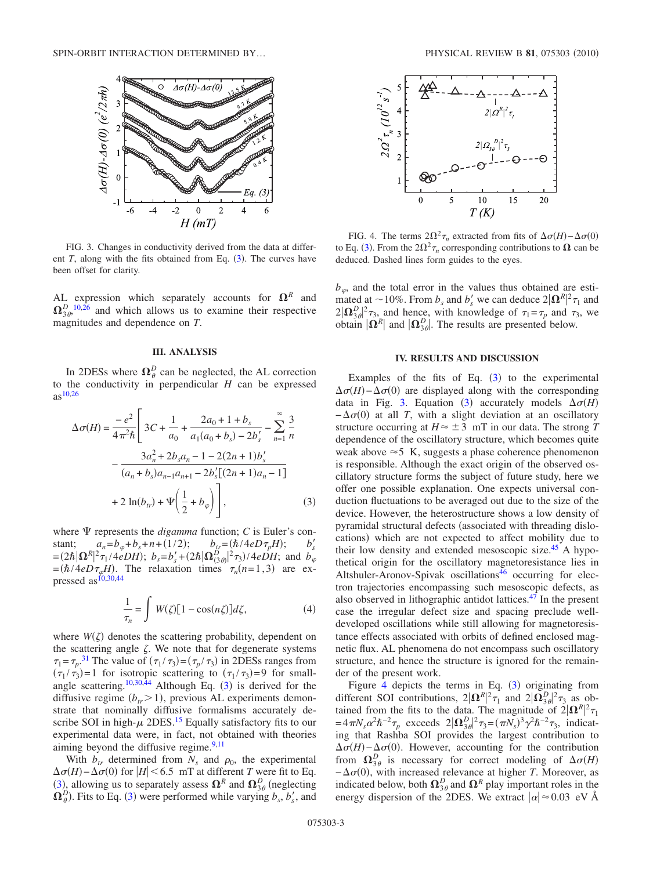<span id="page-2-0"></span>

FIG. 3. Changes in conductivity derived from the data at different  $T$ , along with the fits obtained from Eq.  $(3)$  $(3)$  $(3)$ . The curves have been offset for clarity.

AL expression which separately accounts for  $\Omega^R$  and  $\Omega_{3\theta}^{D}$ , [10](#page-4-14)[,26](#page-4-20) and which allows us to examine their respective magnitudes and dependence on *T*.

### **III. ANALYSIS**

In 2DESs where  $\Omega_{\theta}^{D}$  can be neglected, the AL correction to the conductivity in perpendicular *H* can be expressed  $as^{10,26}$  $as^{10,26}$  $as^{10,26}$ 

<span id="page-2-1"></span>
$$
\Delta \sigma(H) = \frac{-e^2}{4\pi^2 \hbar} \left[ 3C + \frac{1}{a_0} + \frac{2a_0 + 1 + b_s}{a_1(a_0 + b_s) - 2b'_s} - \sum_{n=1}^{\infty} \frac{3}{n} \right]
$$

$$
- \frac{3a_n^2 + 2b_s a_n - 1 - 2(2n + 1)b'_s}{(a_n + b_s)a_{n-1}a_{n+1} - 2b'_s[(2n + 1)a_n - 1]}
$$

$$
+ 2\ln(b_{tr}) + \Psi\left(\frac{1}{2} + b_{\varphi}\right) \right], \tag{3}
$$

where  $\Psi$  represents the *digamma* function; *C* is Euler's constant;  $a_n = b_\varphi + b_s + n + (1/2);$   $b_r = (\hbar/4eD\tau_p H);$   $b'_s$  $= (2\hbar |\mathbf{\Omega}^R|^2 \tau_1 / 4eDH); b_s = b'_s + (2\hbar |\mathbf{\Omega}^D_{(3\theta)}|^2 \tau_3) / 4eDH;$  and  $b_{\varphi}$  $=(\hbar/4eD\tau_{\varphi}H)$ . The relaxation times  $\tau_n(n=1,3)$  are expressed as  $^{10,30,44}$  $^{10,30,44}$  $^{10,30,44}$  $^{10,30,44}$ 

$$
\frac{1}{\tau_n} = \int W(\zeta) [1 - \cos(n\zeta)] d\zeta,\tag{4}
$$

<span id="page-2-3"></span>where  $W(\zeta)$  denotes the scattering probability, dependent on the scattering angle  $\zeta$ . We note that for degenerate systems  $\tau_1 = \tau_p$ .<sup>[31](#page-5-13)</sup> The value of  $(\tau_1 / \tau_3) = (\tau_p / \tau_3)$  in 2DESs ranges from  $(\tau_1 / \tau_3) = 1$  for isotropic scattering to  $(\tau_1 / \tau_3) = 9$  for small-angle scattering.<sup>10,[30,](#page-4-21)[44](#page-5-12)</sup> Although Eq.  $(3)$  $(3)$  $(3)$  is derived for the diffusive regime  $(b_{tr} > 1)$ , previous AL experiments demonstrate that nominally diffusive formalisms accurately describe SOI in high- $\mu$  2DES.<sup>15</sup> Equally satisfactory fits to our experimental data were, in fact, not obtained with theories aiming beyond the diffusive regime.<sup>9,[11](#page-4-8)</sup>

With  $b_{tr}$  determined from  $N_s$  and  $\rho_0$ , the experimental  $\Delta \sigma(H) - \Delta \sigma(0)$  for  $|H| < 6.5$  mT at different *T* were fit to Eq. ([3](#page-2-1)), allowing us to separately assess  $\Omega^R$  and  $\Omega^D_{3\theta}$  (neglecting  $\Omega_{\theta}^{D}$ ). Fits to Eq. ([3](#page-2-1)) were performed while varying  $b_s$ ,  $b'_s$ , and

<span id="page-2-2"></span>

FIG. 4. The terms  $2\Omega^2 \tau_n$  extracted from fits of  $\Delta \sigma(H) - \Delta \sigma(0)$ to Eq. ([3](#page-2-1)). From the  $2\Omega^2 \tau_n$  corresponding contributions to  $\Omega$  can be deduced. Dashed lines form guides to the eyes.

 $b_{\varphi}$ , and the total error in the values thus obtained are estimated at  $\sim$  10%. From  $b_s$  and  $b'_s$  we can deduce  $2|\mathbf{\Omega}^R|^2 \tau_1$  and  $2|\Omega_{3\theta}^D|^2 \tau_3$ , and hence, with knowledge of  $\tau_1 = \tau_p$  and  $\tau_3$ , we obtain  $|\mathbf{\Omega}^R|$  and  $|\mathbf{\Omega}^D_{3\theta}|$ . The results are presented below.

### **IV. RESULTS AND DISCUSSION**

Examples of the fits of Eq.  $(3)$  $(3)$  $(3)$  to the experimental  $\Delta \sigma(H) - \Delta \sigma(0)$  are displayed along with the corresponding data in Fig. [3.](#page-2-0) Equation ([3](#page-2-1)) accurately models  $\Delta \sigma(H)$  $-\Delta \sigma(0)$  at all *T*, with a slight deviation at an oscillatory structure occurring at  $H \approx \pm 3$  mT in our data. The strong *T* dependence of the oscillatory structure, which becomes quite weak above  $\approx$  5 K, suggests a phase coherence phenomenon is responsible. Although the exact origin of the observed oscillatory structure forms the subject of future study, here we offer one possible explanation. One expects universal conduction fluctuations to be averaged out due to the size of the device. However, the heterostructure shows a low density of pyramidal structural defects (associated with threading dislocations) which are not expected to affect mobility due to their low density and extended mesoscopic size.<sup>45</sup> A hypothetical origin for the oscillatory magnetoresistance lies in Altshuler-Aronov-Spivak oscillations<sup>46</sup> occurring for electron trajectories encompassing such mesoscopic defects, as also observed in lithographic antidot lattices. $47$  In the present case the irregular defect size and spacing preclude welldeveloped oscillations while still allowing for magnetoresistance effects associated with orbits of defined enclosed magnetic flux. AL phenomena do not encompass such oscillatory structure, and hence the structure is ignored for the remainder of the present work.

Figure [4](#page-2-2) depicts the terms in Eq.  $(3)$  $(3)$  $(3)$  originating from different SOI contributions,  $2|\mathbf{\Omega}^R|^2 \tau_1$  and  $2|\mathbf{\Omega}^D_{3\theta}|^2 \tau_3$  as obtained from the fits to the data. The magnitude of  $2|\Omega^R|^2 \tau_1$  $=4\pi N_s \alpha^2 \hbar^{-2} \tau_p$  exceeds  $2|\Omega_{3\theta}^D|^2 \tau_3 = (\pi N_s)^3 \gamma^2 \hbar^{-2} \tau_3$ , indicating that Rashba SOI provides the largest contribution to  $\Delta \sigma(H) - \Delta \sigma(0)$ . However, accounting for the contribution from  $\Omega_{3\theta}^D$  is necessary for correct modeling of  $\Delta \sigma(H)$  $-\Delta \sigma(0)$ , with increased relevance at higher *T*. Moreover, as indicated below, both  $\Omega_{3\theta}^D$  and  $\Omega^R$  play important roles in the energy dispersion of the 2DES. We extract  $|\alpha| \approx 0.03$  eV Å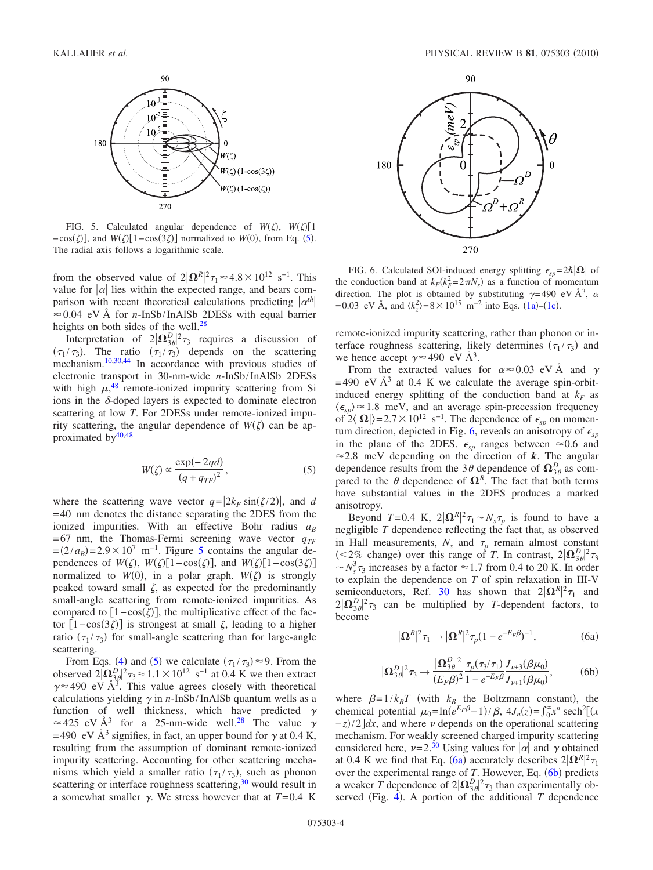<span id="page-3-0"></span>

FIG. 5. Calculated angular dependence of  $W(\zeta)$ ,  $W(\zeta)$ [1]  $-\cos(\zeta)$ , and  $W(\zeta)$ [1– $\cos(3\zeta)$ ] normalized to *W*(0), from Eq. ([5](#page-3-1)). The radial axis follows a logarithmic scale.

from the observed value of  $2|\mathbf{\Omega}^R|^2 \tau_1 \approx 4.8 \times 10^{12} \text{ s}^{-1}$ . This value for  $|\alpha|$  lies within the expected range, and bears comparison with recent theoretical calculations predicting  $|\alpha^{th}|$  $\approx 0.04$  eV Å for *n*-InSb/InAlSb 2DESs with equal barrier heights on both sides of the well. $^{28}$ 

Interpretation of  $2|\Omega_{3\theta}^D|^2 \tau_3$  requires a discussion of  $(\tau_1 / \tau_3)$ . The ratio  $(\tau_1 / \tau_3)$  depends on the scattering mechanism.<sup>10[,30](#page-4-21)[,44](#page-5-12)</sup> In accordance with previous studies of electronic transport in 30-nm-wide *n*-InSb/InAlSb 2DESs with high  $\mu$ <sup>[48](#page-5-17)</sup> remote-ionized impurity scattering from Si ions in the  $\delta$ -doped layers is expected to dominate electron scattering at low *T*. For 2DESs under remote-ionized impurity scattering, the angular dependence of  $W(\zeta)$  can be approximated by $40,48$  $40,48$ 

$$
W(\zeta) \propto \frac{\exp(-2qd)}{(q+q_{TF})^2},\tag{5}
$$

<span id="page-3-1"></span>where the scattering wave vector  $q = |2k_F \sin(\zeta/2)|$ , and *d* =40 nm denotes the distance separating the 2DES from the ionized impurities. With an effective Bohr radius  $a_B$  $=67$  nm, the Thomas-Fermi screening wave vector  $q_{TF}$  $=(2/a_B)$ =2.9×10<sup>7</sup> m<sup>-1</sup>. Figure [5](#page-3-0) contains the angular dependences of  $W(\zeta)$ ,  $W(\zeta)[1-\cos(\zeta)]$ , and  $W(\zeta)[1-\cos(3\zeta)]$ normalized to  $W(0)$ , in a polar graph.  $W(\zeta)$  is strongly peaked toward small  $\zeta$ , as expected for the predominantly small-angle scattering from remote-ionized impurities. As compared to  $[1 - \cos(\zeta)]$ , the multiplicative effect of the factor  $[1-\cos(3\zeta)]$  is strongest at small  $\zeta$ , leading to a higher ratio  $(\tau_1 / \tau_3)$  for small-angle scattering than for large-angle scattering.

From Eqs. ([4](#page-2-3)) and ([5](#page-3-1)) we calculate  $(\tau_1 / \tau_3) \approx 9$ . From the observed  $2[\Omega_{3,0}^D]^2 \tau_3 \approx 1.1 \times 10^{12} \text{ s}^{-1}$  at 0.4 K we then extract  $\gamma \approx 490$  eV Å<sup>3</sup>. This value agrees closely with theoretical calculations yielding  $\gamma$  in *n*-InSb/InAlSb quantum wells as a function of well thickness, which have predicted  $\gamma$  $\approx$  425 eV Å<sup>3</sup> for a 25-nm-wide well.<sup>28</sup> The value  $\gamma$ =490 eV  $\mathring{A}^3$  signifies, in fact, an upper bound for  $\gamma$  at 0.4 K, resulting from the assumption of dominant remote-ionized impurity scattering. Accounting for other scattering mechanisms which yield a smaller ratio  $(\tau_1 / \tau_3)$ , such as phonon scattering or interface roughness scattering, $30$  would result in a somewhat smaller  $\gamma$ . We stress however that at  $T=0.4$  K

<span id="page-3-2"></span>

FIG. 6. Calculated SOI-induced energy splitting  $\epsilon_{sp} = 2\hbar |\Omega|$  of the conduction band at  $k_F(k_F^2 = 2\pi N_s)$  as a function of momentum direction. The plot is obtained by substituting  $\gamma = 490 \text{ eV} \text{ Å}^3$ ,  $\alpha$  $= 0.03$  eV Å, and  $\langle k_z^2 \rangle = 8 \times 10^{15}$  m<sup>-2</sup> into Eqs. ([1a](#page-0-0))–([1c](#page-0-2)).

remote-ionized impurity scattering, rather than phonon or interface roughness scattering, likely determines  $(\tau_1 / \tau_3)$  and we hence accept  $\gamma \approx 490$  eV  $\AA^3$ .

From the extracted values for  $\alpha \approx 0.03$  eV Å and  $\gamma$ =490 eV  $\AA$ <sup>3</sup> at 0.4 K we calculate the average spin-orbitinduced energy splitting of the conduction band at  $k_F$  as  $\langle \epsilon_{sp} \rangle \approx 1.8$  meV, and an average spin-precession frequency of  $2\langle |\mathbf{\Omega}| \rangle = 2.7 \times 10^{12}$  s<sup>-1</sup>. The dependence of  $\epsilon_{sp}$  on momen-tum direction, depicted in Fig. [6,](#page-3-2) reveals an anisotropy of  $\epsilon_{sn}$ in the plane of the 2DES.  $\epsilon_{sp}$  ranges between  $\approx 0.6$  and  $\approx$  2.8 meV depending on the direction of *k*. The angular dependence results from the 3 $\theta$  dependence of  $\Omega_{3\theta}^D$  as compared to the  $\theta$  dependence of  $\Omega^R$ . The fact that both terms have substantial values in the 2DES produces a marked anisotropy.

Beyond  $T=0.4$  K,  $2|\mathbf{\Omega}^R|^2 \tau_1 \sim N_s \tau_p$  is found to have a negligible *T* dependence reflecting the fact that, as observed in Hall measurements,  $N_s$  and  $\tau_p$  remain almost constant (<2% change) over this range of *T*. In contrast,  $2|\Omega_{3\theta}^D|^2 \tau_3$  $\sim N_s^3 \tau_3$  increases by a factor  $\approx$  1.7 from 0.4 to 20 K. In order to explain the dependence on *T* of spin relaxation in III-V semiconductors, Ref. [30](#page-4-21) has shown that  $2|\Omega^R|^2\tau_1$  and  $2|\Omega_{3\theta}^D|^2\tau_3$  can be multiplied by *T*-dependent factors, to become

$$
|\mathbf{\Omega}^R|^2 \tau_1 \to |\mathbf{\Omega}^R|^2 \tau_p (1 - e^{-E_F \beta})^{-1}, \tag{6a}
$$

<span id="page-3-3"></span>
$$
|\Omega_{3\theta}^D|^2 \tau_3 \to \frac{|\Omega_{3\theta}^D|^2}{(E_F \beta)^2} \frac{\tau_p(\tau_3/\tau_1)}{1 - e^{-E_F \beta}} \frac{J_{\nu+3}(\beta \mu_0)}{J_{\nu+1}(\beta \mu_0)},
$$
(6b)

<span id="page-3-4"></span>where  $\beta = 1/k_B T$  (with  $k_B$  the Boltzmann constant), the chemical potential  $\mu_0 = \ln(e^{E_F \beta} - 1) / \beta$ ,  $4J_n(z) = \int_0^\infty x^n \operatorname{sech}^2[(x)]$  $-\frac{z}{2}$  and where  $\nu$  depends on the operational scattering mechanism. For weakly screened charged impurity scattering considered here,  $\nu = 2^{30}$  Using values for  $|\alpha|$  and  $\gamma$  obtained at 0.4 K we find that Eq. ([6a](#page-3-3)) accurately describes  $2|\Omega^R|^2 \tau_1$ over the experimental range of *T*. However, Eq. ([6b](#page-3-4)) predicts a weaker *T* dependence of  $2|\Omega_{3\theta}^D|^2 \tau_3$  than experimentally ob-served (Fig. [4](#page-2-2)). A portion of the additional  $T$  dependence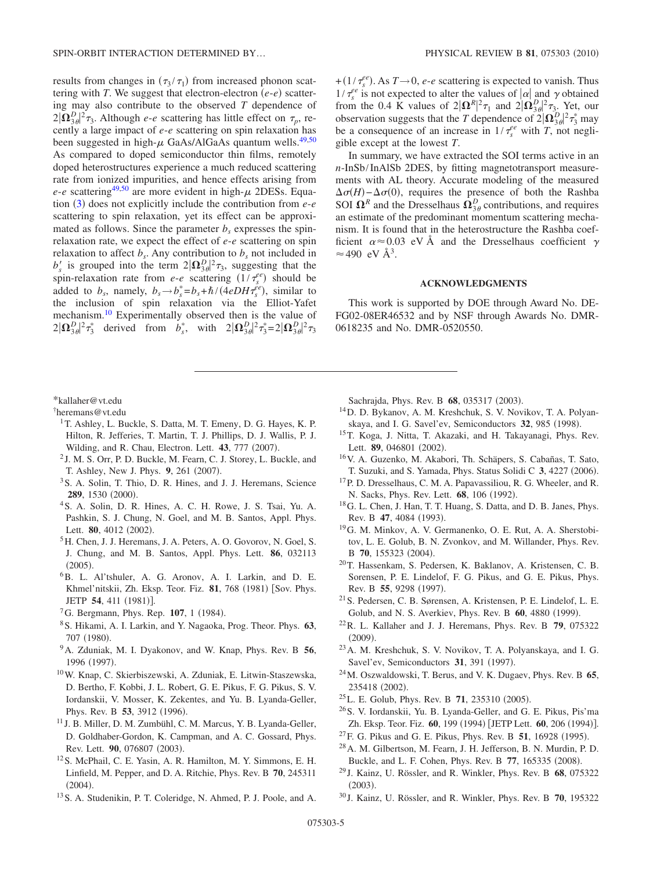results from changes in  $(\tau_3 / \tau_1)$  from increased phonon scattering with *T*. We suggest that electron-electron  $(e-e)$  scattering may also contribute to the observed *T* dependence of  $2|\Omega_{3\theta}^D|^2\tau_3$ . Although *e-e* scattering has little effect on  $\tau_p$ , recently a large impact of *e*-*e* scattering on spin relaxation has been suggested in high- $\mu$  GaAs/AlGaAs quantum wells.<sup>49[,50](#page-5-19)</sup> As compared to doped semiconductor thin films, remotely doped heterostructures experience a much reduced scattering rate from ionized impurities, and hence effects arising from  $e$ - $e$  scattering<sup>49[,50](#page-5-19)</sup> are more evident in high- $\mu$  2DESs. Equa-tion ([3](#page-2-1)) does not explicitly include the contribution from *e-e* scattering to spin relaxation, yet its effect can be approximated as follows. Since the parameter  $b_s$  expresses the spinrelaxation rate, we expect the effect of *e*-*e* scattering on spin relaxation to affect  $b_s$ . Any contribution to  $b_s$  not included in  $b'_s$  is grouped into the term  $2|\Omega_{3\theta}^D|^2\tau_3$ , suggesting that the spin-relaxation rate from *e-e* scattering  $(1/\tau_s^{ee})$  should be added to  $b_s$ , namely,  $b_s \rightarrow b_s^* = b_s + \hbar/(4eDH\tau_s^{ee})$ , similar to the inclusion of spin relaxation via the Elliot-Yafet mechanism[.10](#page-4-14) Experimentally observed then is the value of  $2|\Omega_{3\theta}^D|^2\tau_3^*$  derived from  $b_s^*$ , with  $2|\Omega_{3\theta}^D|^2\tau_3^*=2|\Omega_{3\theta}^D|^2\tau_3$ 

## <span id="page-4-0"></span>\*kallaher@vt.edu

<span id="page-4-1"></span>† heremans@vt.edu

- <span id="page-4-2"></span><sup>1</sup>T. Ashley, L. Buckle, S. Datta, M. T. Emeny, D. G. Hayes, K. P. Hilton, R. Jefferies, T. Martin, T. J. Phillips, D. J. Wallis, P. J. Wilding, and R. Chau, Electron. Lett. **43**, 777 (2007).
- <span id="page-4-3"></span><sup>2</sup> J. M. S. Orr, P. D. Buckle, M. Fearn, C. J. Storey, L. Buckle, and T. Ashley, New J. Phys. 9, 261 (2007).
- <span id="page-4-4"></span>3S. A. Solin, T. Thio, D. R. Hines, and J. J. Heremans, Science **289**, 1530 (2000).
- <span id="page-4-5"></span>4S. A. Solin, D. R. Hines, A. C. H. Rowe, J. S. Tsai, Yu. A. Pashkin, S. J. Chung, N. Goel, and M. B. Santos, Appl. Phys. Lett. **80**, 4012 (2002).
- <span id="page-4-6"></span>5H. Chen, J. J. Heremans, J. A. Peters, A. O. Govorov, N. Goel, S. J. Chung, and M. B. Santos, Appl. Phys. Lett. **86**, 032113  $(2005).$
- <span id="page-4-7"></span><sup>6</sup>B. L. Al'tshuler, A. G. Aronov, A. I. Larkin, and D. E. Khmel'nitskii, Zh. Eksp. Teor. Fiz. 81, 768 (1981) [Sov. Phys. JETP **54**, 411 (1981)].
- <span id="page-4-9"></span><sup>7</sup>G. Bergmann, Phys. Rep. **107**, 1 (1984).
- <span id="page-4-19"></span>8S. Hikami, A. I. Larkin, and Y. Nagaoka, Prog. Theor. Phys. **63**, 707 (1980).
- <span id="page-4-11"></span>9A. Zduniak, M. I. Dyakonov, and W. Knap, Phys. Rev. B **56**, 1996 (1997).
- <span id="page-4-14"></span>10W. Knap, C. Skierbiszewski, A. Zduniak, E. Litwin-Staszewska, D. Bertho, F. Kobbi, J. L. Robert, G. E. Pikus, F. G. Pikus, S. V. Iordanskii, V. Mosser, K. Zekentes, and Yu. B. Lyanda-Geller, Phys. Rev. B 53, 3912 (1996).
- <span id="page-4-8"></span><sup>11</sup> J. B. Miller, D. M. Zumbühl, C. M. Marcus, Y. B. Lyanda-Geller, D. Goldhaber-Gordon, K. Campman, and A. C. Gossard, Phys. Rev. Lett. 90, 076807 (2003).
- <span id="page-4-10"></span>12S. McPhail, C. E. Yasin, A. R. Hamilton, M. Y. Simmons, E. H. Linfield, M. Pepper, and D. A. Ritchie, Phys. Rev. B **70**, 245311  $(2004).$
- <span id="page-4-12"></span>13S. A. Studenikin, P. T. Coleridge, N. Ahmed, P. J. Poole, and A.

+( $1/\tau_e^{ee}$ ). As  $T\rightarrow 0$ , *e-e* scattering is expected to vanish. Thus  $1/\tau_s^{ee}$  is not expected to alter the values of  $|\alpha|$  and  $\gamma$  obtained from the 0.4 K values of  $2|\Omega^R|^2 \tau_1$  and  $2|\Omega^D_{3\theta}|^2 \tau_3$ . Yet, our observation suggests that the *T* dependence of  $2|\Omega_{3\theta}^D|^2\tau_3^*$  may be a consequence of an increase in  $1/\tau_s^{ee}$  with *T*, not negligible except at the lowest *T*.

In summary, we have extracted the SOI terms active in an *n*-InSb/InAlSb 2DES, by fitting magnetotransport measurements with AL theory. Accurate modeling of the measured  $\Delta \sigma(H) - \Delta \sigma(0)$ , requires the presence of both the Rashba SOI  $\Omega^R$  and the Dresselhaus  $\Omega^D_{3\theta}$  contributions, and requires an estimate of the predominant momentum scattering mechanism. It is found that in the heterostructure the Rashba coefficient  $\alpha \approx 0.03$  eV Å and the Dresselhaus coefficient  $\gamma$  $\approx$  490 eV Å<sup>3</sup>.

#### **ACKNOWLEDGMENTS**

This work is supported by DOE through Award No. DE-FG02-08ER46532 and by NSF through Awards No. DMR-0618235 and No. DMR-0520550.

Sachrajda, Phys. Rev. B 68, 035317 (2003).

- 14D. D. Bykanov, A. M. Kreshchuk, S. V. Novikov, T. A. Polyanskaya, and I. G. Savel'ev, Semiconductors 32, 985 (1998).
- <span id="page-4-22"></span>15T. Koga, J. Nitta, T. Akazaki, and H. Takayanagi, Phys. Rev. Lett. **89**, 046801 (2002).
- 16V. A. Guzenko, M. Akabori, Th. Schäpers, S. Cabañas, T. Sato, T. Suzuki, and S. Yamada, Phys. Status Solidi C 3, 4227 (2006).
- 17P. D. Dresselhaus, C. M. A. Papavassiliou, R. G. Wheeler, and R. N. Sacks, Phys. Rev. Lett. **68**, 106 (1992).
- 18G. L. Chen, J. Han, T. T. Huang, S. Datta, and D. B. Janes, Phys. Rev. B 47, 4084 (1993).
- <span id="page-4-15"></span>19G. M. Minkov, A. V. Germanenko, O. E. Rut, A. A. Sherstobitov, L. E. Golub, B. N. Zvonkov, and M. Willander, Phys. Rev. B 70, 155323 (2004).
- 20T. Hassenkam, S. Pedersen, K. Baklanov, A. Kristensen, C. B. Sorensen, P. E. Lindelof, F. G. Pikus, and G. E. Pikus, Phys. Rev. B 55, 9298 (1997).
- 21S. Pedersen, C. B. Sørensen, A. Kristensen, P. E. Lindelof, L. E. Golub, and N. S. Averkiev, Phys. Rev. B 60, 4880 (1999).
- 22R. L. Kallaher and J. J. Heremans, Phys. Rev. B **79**, 075322  $(2009).$
- 23A. M. Kreshchuk, S. V. Novikov, T. A. Polyanskaya, and I. G. Savel'ev, Semiconductors 31, 391 (1997).
- 24M. Oszwaldowski, T. Berus, and V. K. Dugaev, Phys. Rev. B **65**, 235418 (2002).
- <span id="page-4-16"></span><sup>25</sup>L. E. Golub, Phys. Rev. B **71**, 235310 (2005).
- <span id="page-4-20"></span>26S. V. Iordanskii, Yu. B. Lyanda-Geller, and G. E. Pikus, Pis'ma Zh. Eksp. Teor. Fiz. **60**, 199 (1994) [JETP Lett. **60**, 206 (1994)].
- <span id="page-4-13"></span><sup>27</sup> F. G. Pikus and G. E. Pikus, Phys. Rev. B **51**, 16928 (1995).
- <span id="page-4-18"></span>28A. M. Gilbertson, M. Fearn, J. H. Jefferson, B. N. Murdin, P. D. Buckle, and L. F. Cohen, Phys. Rev. B 77, 165335 (2008).
- <span id="page-4-17"></span><sup>29</sup> J. Kainz, U. Rössler, and R. Winkler, Phys. Rev. B **68**, 075322  $(2003).$
- <span id="page-4-21"></span><sup>30</sup> J. Kainz, U. Rössler, and R. Winkler, Phys. Rev. B **70**, 195322